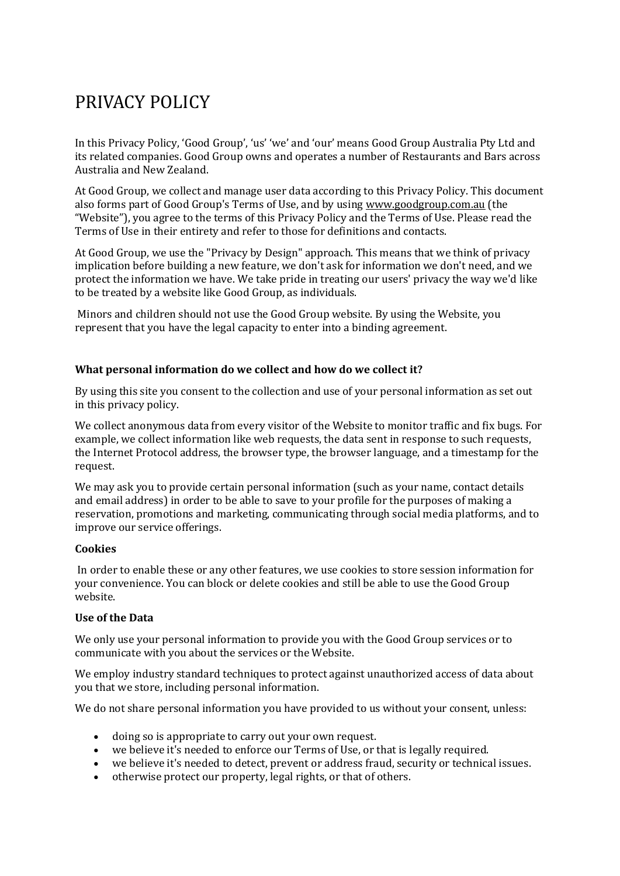# PRIVACY POLICY

In this Privacy Policy, 'Good Group', 'us' 'we' and 'our' means Good Group Australia Pty Ltd and its related companies. Good Group owns and operates a number of Restaurants and Bars across Australia and New Zealand.

At Good Group, we collect and manage user data according to this Privacy Policy. This document also forms part of Good Group's Terms of Use, and by using [www.goodgroup.com.au](http://www.goodgroup.co.nz/) (the "Website"), you agree to the terms of this Privacy Policy and the Terms of Use. Please read the Terms of Use in their entirety and refer to those for definitions and contacts.

At Good Group, we use the "Privacy by Design" approach. This means that we think of privacy implication before building a new feature, we don't ask for information we don't need, and we protect the information we have. We take pride in treating our users' privacy the way we'd like to be treated by a website like Good Group, as individuals.

Minors and children should not use the Good Group website. By using the Website, you represent that you have the legal capacity to enter into a binding agreement.

#### **What personal information do we collect and how do we collect it?**

By using this site you consent to the collection and use of your personal information as set out in this privacy policy.

We collect anonymous data from every visitor of the Website to monitor traffic and fix bugs. For example, we collect information like web requests, the data sent in response to such requests, the Internet Protocol address, the browser type, the browser language, and a timestamp for the request.

We may ask you to provide certain personal information (such as your name, contact details and email address) in order to be able to save to your profile for the purposes of making a reservation, promotions and marketing, communicating through social media platforms, and to improve our service offerings.

#### **Cookies**

In order to enable these or any other features, we use cookies to store session information for your convenience. You can block or delete cookies and still be able to use the Good Group website.

#### **Use of the Data**

We only use your personal information to provide you with the Good Group services or to communicate with you about the services or the Website.

We employ industry standard techniques to protect against unauthorized access of data about you that we store, including personal information.

We do not share personal information you have provided to us without your consent, unless:

- doing so is appropriate to carry out your own request.
- we believe it's needed to enforce our Terms of Use, or that is legally required.
- we believe it's needed to detect, prevent or address fraud, security or technical issues.
- otherwise protect our property, legal rights, or that of others.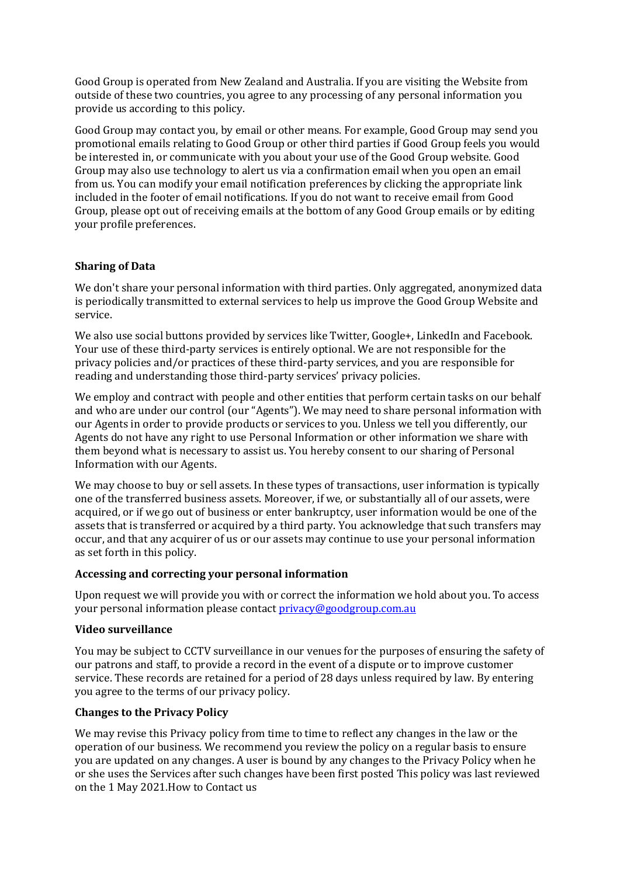Good Group is operated from New Zealand and Australia. If you are visiting the Website from outside of these two countries, you agree to any processing of any personal information you provide us according to this policy.

Good Group may contact you, by email or other means. For example, Good Group may send you promotional emails relating to Good Group or other third parties if Good Group feels you would be interested in, or communicate with you about your use of the Good Group website. Good Group may also use technology to alert us via a confirmation email when you open an email from us. You can modify your email notification preferences by clicking the appropriate link included in the footer of email notifications. If you do not want to receive email from Good Group, please opt out of receiving emails at the bottom of any Good Group emails or by editing your profile preferences.

## **Sharing of Data**

We don't share your personal information with third parties. Only aggregated, anonymized data is periodically transmitted to external services to help us improve the Good Group Website and service.

We also use social buttons provided by services like Twitter, Google+, LinkedIn and Facebook. Your use of these third-party services is entirely optional. We are not responsible for the privacy policies and/or practices of these third-party services, and you are responsible for reading and understanding those third-party services' privacy policies.

We employ and contract with people and other entities that perform certain tasks on our behalf and who are under our control (our "Agents"). We may need to share personal information with our Agents in order to provide products or services to you. Unless we tell you differently, our Agents do not have any right to use Personal Information or other information we share with them beyond what is necessary to assist us. You hereby consent to our sharing of Personal Information with our Agents.

We may choose to buy or sell assets. In these types of transactions, user information is typically one of the transferred business assets. Moreover, if we, or substantially all of our assets, were acquired, or if we go out of business or enter bankruptcy, user information would be one of the assets that is transferred or acquired by a third party. You acknowledge that such transfers may occur, and that any acquirer of us or our assets may continue to use your personal information as set forth in this policy.

#### **Accessing and correcting your personal information**

Upon request we will provide you with or correct the information we hold about you. To access your personal information please contact [privacy@goodgroup.com.au](mailto:privacy@goodgroup.com.au)

#### **Video surveillance**

You may be subject to CCTV surveillance in our venues for the purposes of ensuring the safety of our patrons and staff, to provide a record in the event of a dispute or to improve customer service. These records are retained for a period of 28 days unless required by law. By entering you agree to the terms of our privacy policy.

# **Changes to the Privacy Policy**

We may revise this Privacy policy from time to time to reflect any changes in the law or the operation of our business. We recommend you review the policy on a regular basis to ensure you are updated on any changes. A user is bound by any changes to the Privacy Policy when he or she uses the Services after such changes have been first posted This policy was last reviewed on the 1 May 2021.How to Contact us